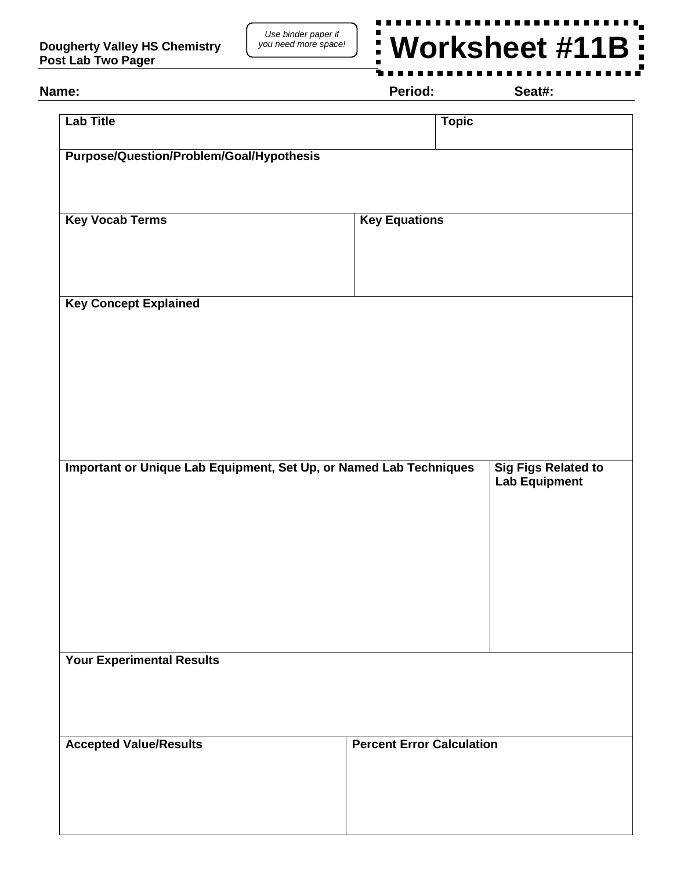

## **Name: Period: Seat#:**

| <b>Lab Title</b>                                                                                                         | <b>Topic</b>                     |  |
|--------------------------------------------------------------------------------------------------------------------------|----------------------------------|--|
| <b>Purpose/Question/Problem/Goal/Hypothesis</b>                                                                          |                                  |  |
|                                                                                                                          |                                  |  |
| <b>Key Vocab Terms</b>                                                                                                   | <b>Key Equations</b>             |  |
|                                                                                                                          |                                  |  |
| <b>Key Concept Explained</b>                                                                                             |                                  |  |
|                                                                                                                          |                                  |  |
|                                                                                                                          |                                  |  |
|                                                                                                                          |                                  |  |
| Important or Unique Lab Equipment, Set Up, or Named Lab Techniques<br><b>Sig Figs Related to</b><br><b>Lab Equipment</b> |                                  |  |
|                                                                                                                          |                                  |  |
|                                                                                                                          |                                  |  |
|                                                                                                                          |                                  |  |
|                                                                                                                          |                                  |  |
| <b>Your Experimental Results</b>                                                                                         |                                  |  |
|                                                                                                                          |                                  |  |
| <b>Accepted Value/Results</b>                                                                                            | <b>Percent Error Calculation</b> |  |
|                                                                                                                          |                                  |  |
|                                                                                                                          |                                  |  |